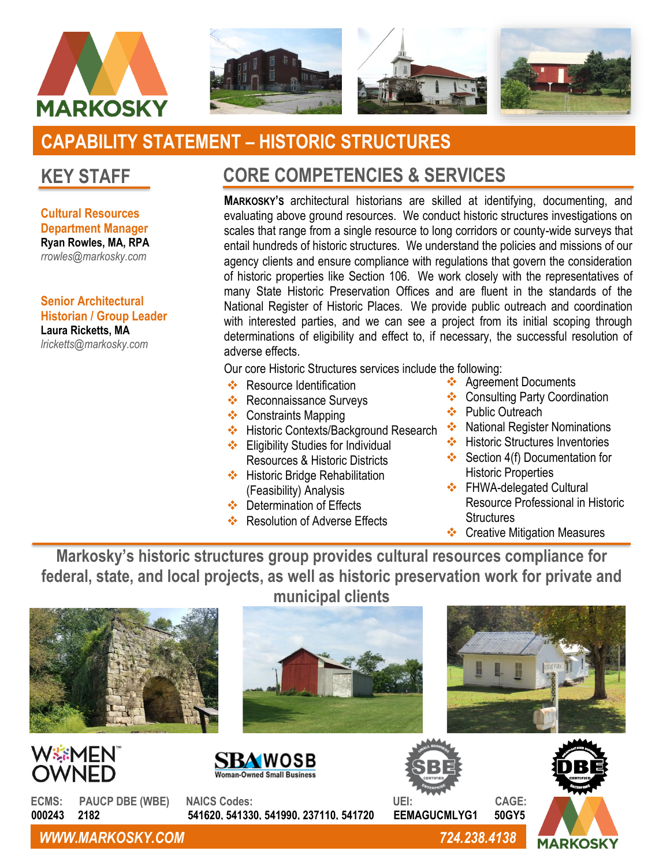



# **CAPABILITY STATEMENT – HISTORIC STRUCTURES**

## **KEY STAFF**

**Cultural Resources Department Manager Ryan Rowles, MA, RPA** *rrowles@markosky.com*

**Senior Architectural Historian / Group Leader Laura Ricketts, MA** *lricketts@markosky.com*

# **CORE COMPETENCIES & SERVICES**

**MARKOSKY'S** architectural historians are skilled at identifying, documenting, and evaluating above ground resources. We conduct historic structures investigations on scales that range from a single resource to long corridors or county-wide surveys that entail hundreds of historic structures. We understand the policies and missions of our agency clients and ensure compliance with regulations that govern the consideration of historic properties like Section 106. We work closely with the representatives of many State Historic Preservation Offices and are fluent in the standards of the National Register of Historic Places. We provide public outreach and coordination with interested parties, and we can see a project from its initial scoping through determinations of eligibility and effect to, if necessary, the successful resolution of adverse effects.

Our core Historic Structures services include the following:

- ❖ Resource Identification
- ❖ Reconnaissance Surveys
- ❖ Constraints Mapping
- ❖ Historic Contexts/Background Research ❖ National Register Nominations ❖ Eligibility Studies for Individual
- Resources & Historic Districts
- ❖ Historic Bridge Rehabilitation (Feasibility) Analysis
- ❖ Determination of Effects
- ❖ Resolution of Adverse Effects
- ❖ Agreement Documents
- ❖ Consulting Party Coordination
- ❖ Public Outreach
- 
- ❖ Historic Structures Inventories
- ❖ Section 4(f) Documentation for Historic Properties
- ❖ FHWA-delegated Cultural Resource Professional in Historic **Structures**
- ❖ Creative Mitigation Measures

**Markosky's historic structures group provides cultural resources compliance for federal, state, and local projects, as well as historic preservation work for private and** 



*WWW.MARKOSKY.COM 724.238.4138*

**MARKOSKY**